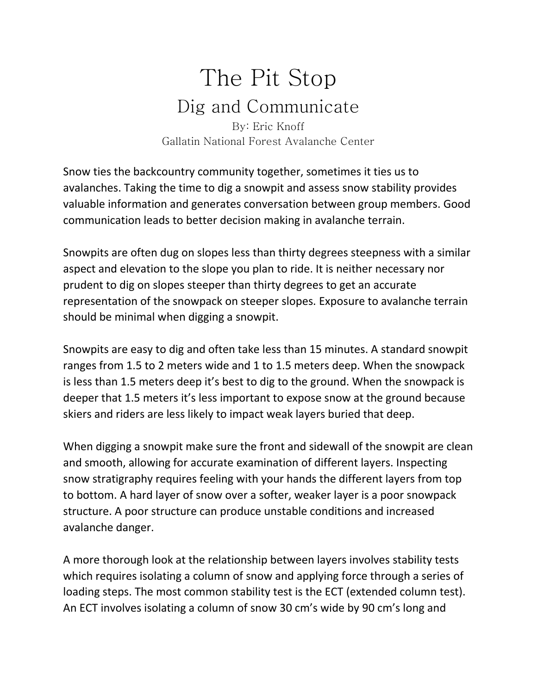## The Pit Stop Dig and Communicate By: Eric Knoff

Gallatin National Forest Avalanche Center

Snow ties the backcountry community together, sometimes it ties us to avalanches. Taking the time to dig a snowpit and assess snow stability provides valuable information and generates conversation between group members. Good communication leads to better decision making in avalanche terrain.

Snowpits are often dug on slopes less than thirty degrees steepness with a similar aspect and elevation to the slope you plan to ride. It is neither necessary nor prudent to dig on slopes steeper than thirty degrees to get an accurate representation of the snowpack on steeper slopes. Exposure to avalanche terrain should be minimal when digging a snowpit.

Snowpits are easy to dig and often take less than 15 minutes. A standard snowpit ranges from 1.5 to 2 meters wide and 1 to 1.5 meters deep. When the snowpack is less than 1.5 meters deep it's best to dig to the ground. When the snowpack is deeper that 1.5 meters it's less important to expose snow at the ground because skiers and riders are less likely to impact weak layers buried that deep.

When digging a snowpit make sure the front and sidewall of the snowpit are clean and smooth, allowing for accurate examination of different layers. Inspecting snow stratigraphy requires feeling with your hands the different layers from top to bottom. A hard layer of snow over a softer, weaker layer is a poor snowpack structure. A poor structure can produce unstable conditions and increased avalanche danger.

A more thorough look at the relationship between layers involves stability tests which requires isolating a column of snow and applying force through a series of loading steps. The most common stability test is the ECT (extended column test). An ECT involves isolating a column of snow 30 cm's wide by 90 cm's long and